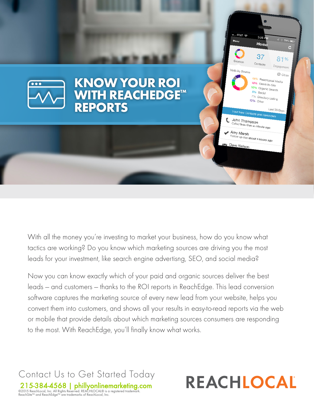

With all the money you're investing to market your business, how do you know what tactics are working? Do you know which marketing sources are driving you the most leads for your investment, like search engine advertisng, SEO, and social media?

Now you can know exactly which of your paid and organic sources deliver the best leads — and customers — thanks to the ROI reports in ReachEdge. This lead conversion software captures the marketing source of every new lead from your website, helps you convert them into customers, and shows all your results in easy-to-read reports via the web or mobile that provide details about which marketing sources consumers are responding to the most. With ReachEdge, you'll finally know what works.

Contact Us to Get Started Today 215-384-4568 [| phillyonlinemarketing.com](http://www.phillyonlinemarketing.com/) ©2015 ReachLocal, Inc. All Rights Reserved. REACHLOCAL® is a registered trademark. ReachSite™ and ReachEdge™ are trademarks of ReachLocal, Inc.

# REACHLOCAL